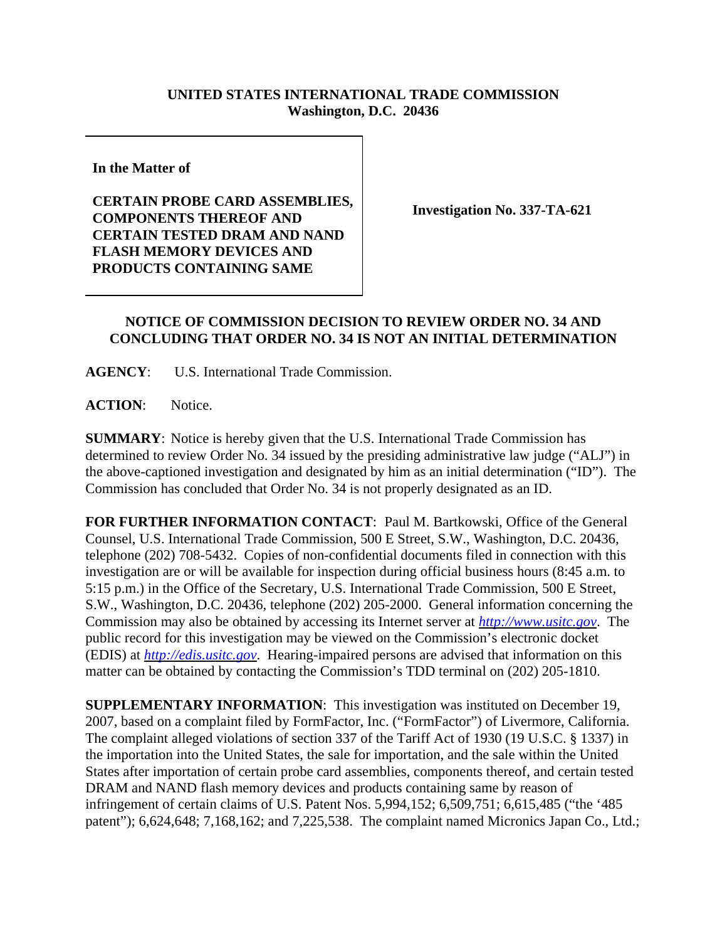## **UNITED STATES INTERNATIONAL TRADE COMMISSION Washington, D.C. 20436**

**In the Matter of** 

**CERTAIN PROBE CARD ASSEMBLIES, COMPONENTS THEREOF AND CERTAIN TESTED DRAM AND NAND FLASH MEMORY DEVICES AND PRODUCTS CONTAINING SAME**

**Investigation No. 337-TA-621**

## **NOTICE OF COMMISSION DECISION TO REVIEW ORDER NO. 34 AND CONCLUDING THAT ORDER NO. 34 IS NOT AN INITIAL DETERMINATION**

**AGENCY**: U.S. International Trade Commission.

**ACTION**: Notice.

**SUMMARY**: Notice is hereby given that the U.S. International Trade Commission has determined to review Order No. 34 issued by the presiding administrative law judge ("ALJ") in the above-captioned investigation and designated by him as an initial determination ("ID"). The Commission has concluded that Order No. 34 is not properly designated as an ID.

**FOR FURTHER INFORMATION CONTACT**: Paul M. Bartkowski, Office of the General Counsel, U.S. International Trade Commission, 500 E Street, S.W., Washington, D.C. 20436, telephone (202) 708-5432. Copies of non-confidential documents filed in connection with this investigation are or will be available for inspection during official business hours (8:45 a.m. to 5:15 p.m.) in the Office of the Secretary, U.S. International Trade Commission, 500 E Street, S.W., Washington, D.C. 20436, telephone (202) 205-2000. General information concerning the Commission may also be obtained by accessing its Internet server at *http://www.usitc.gov*. The public record for this investigation may be viewed on the Commission's electronic docket (EDIS) at *http://edis.usitc.gov*. Hearing-impaired persons are advised that information on this matter can be obtained by contacting the Commission's TDD terminal on (202) 205-1810.

**SUPPLEMENTARY INFORMATION**: This investigation was instituted on December 19, 2007, based on a complaint filed by FormFactor, Inc. ("FormFactor") of Livermore, California. The complaint alleged violations of section 337 of the Tariff Act of 1930 (19 U.S.C. § 1337) in the importation into the United States, the sale for importation, and the sale within the United States after importation of certain probe card assemblies, components thereof, and certain tested DRAM and NAND flash memory devices and products containing same by reason of infringement of certain claims of U.S. Patent Nos. 5,994,152; 6,509,751; 6,615,485 ("the '485 patent"); 6,624,648; 7,168,162; and 7,225,538. The complaint named Micronics Japan Co., Ltd.;